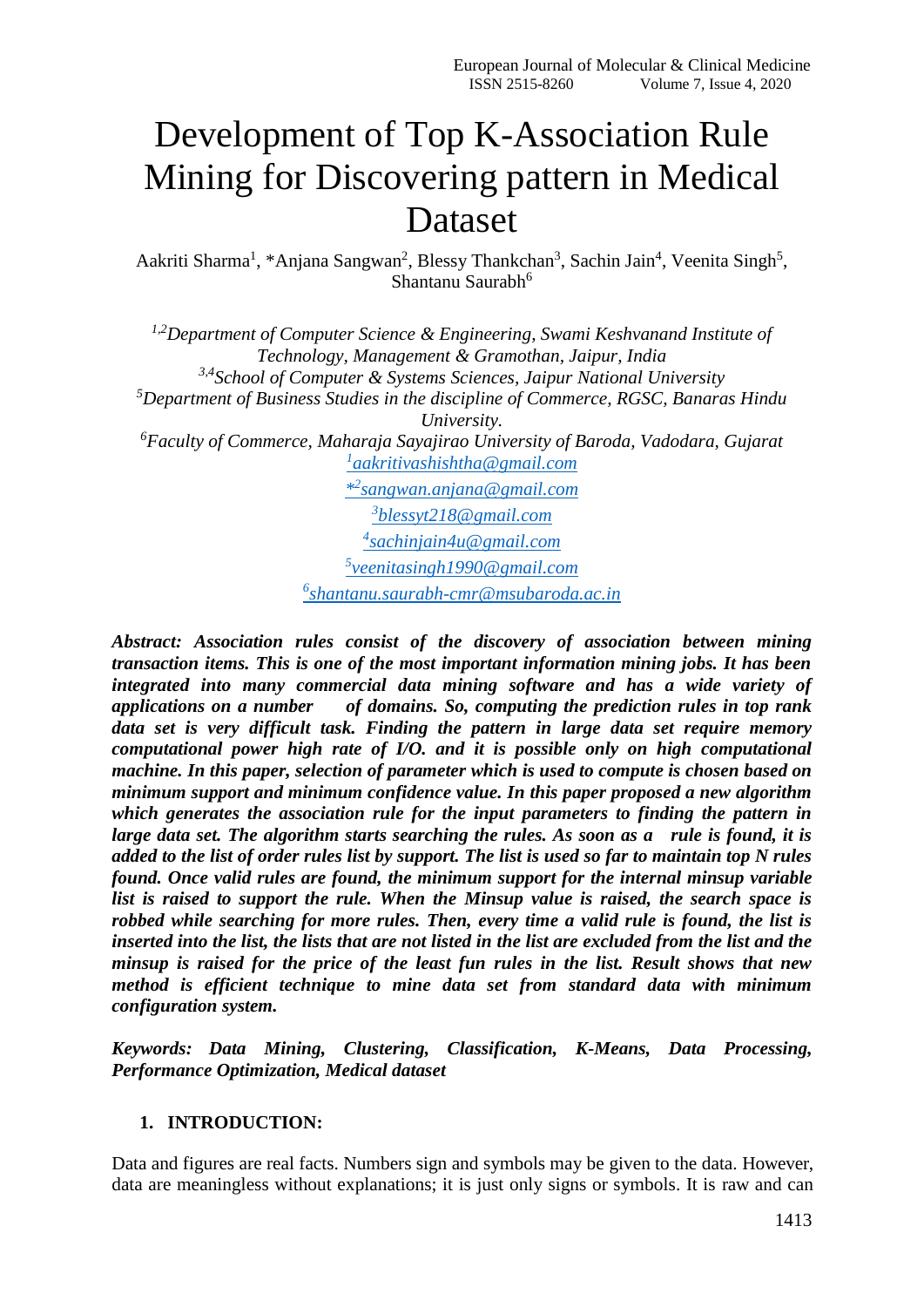# Development of Top K-Association Rule Mining for Discovering pattern in Medical Dataset

Aakriti Sharma<sup>1</sup>, \*Anjana Sangwan<sup>2</sup>, Blessy Thankchan<sup>3</sup>, Sachin Jain<sup>4</sup>, Veenita Singh<sup>5</sup>, Shantanu Saurabh<sup>6</sup>

*1,2Department of Computer Science & Engineering, Swami Keshvanand Institute of Technology, Management & Gramothan, Jaipur, India 3,4School of Computer & Systems Sciences, Jaipur National University <sup>5</sup>Department of Business Studies in the discipline of Commerce, RGSC, Banaras Hindu University. <sup>6</sup>Faculty of Commerce, Maharaja Sayajirao University of Baroda, Vadodara, Gujarat 1 [aakritivashishtha@gmail.com](mailto:1aakritivashishtha@gmail.com) \* 2 [sangwan.anjana@gmail.com](mailto:*2sangwan.anjana@gmail.com) 3 [blessyt218@gmail.com](mailto:3blessyt218@gmail.com) 4 [sachinjain4u@gmail.com](mailto:4sachinjain4u@gmail.com) 5 [veenitasingh1990@gmail.com](mailto:5veenitasingh1990@gmail.com)*

*6 [shantanu.saurabh-cmr@msubaroda.ac.in](mailto:6shantanu.saurabh-cmr@msubaroda.ac.in)*

*Abstract: Association rules consist of the discovery of association between mining transaction items. This is one of the most important information mining jobs. It has been integrated into many commercial data mining software and has a wide variety of applications on a number of domains. So, computing the prediction rules in top rank data set is very difficult task. Finding the pattern in large data set require memory computational power high rate of I/O. and it is possible only on high computational machine. In this paper, selection of parameter which is used to compute is chosen based on minimum support and minimum confidence value. In this paper proposed a new algorithm which generates the association rule for the input parameters to finding the pattern in large data set. The algorithm starts searching the rules. As soon as a rule is found, it is added to the list of order rules list by support. The list is used so far to maintain top N rules found. Once valid rules are found, the minimum support for the internal minsup variable list is raised to support the rule. When the Minsup value is raised, the search space is robbed while searching for more rules. Then, every time a valid rule is found, the list is inserted into the list, the lists that are not listed in the list are excluded from the list and the minsup is raised for the price of the least fun rules in the list. Result shows that new method is efficient technique to mine data set from standard data with minimum configuration system.*

*Keywords: Data Mining, Clustering, Classification, K-Means, Data Processing, Performance Optimization, Medical dataset*

# **1. INTRODUCTION:**

Data and figures are real facts. Numbers sign and symbols may be given to the data. However, data are meaningless without explanations; it is just only signs or symbols. It is raw and can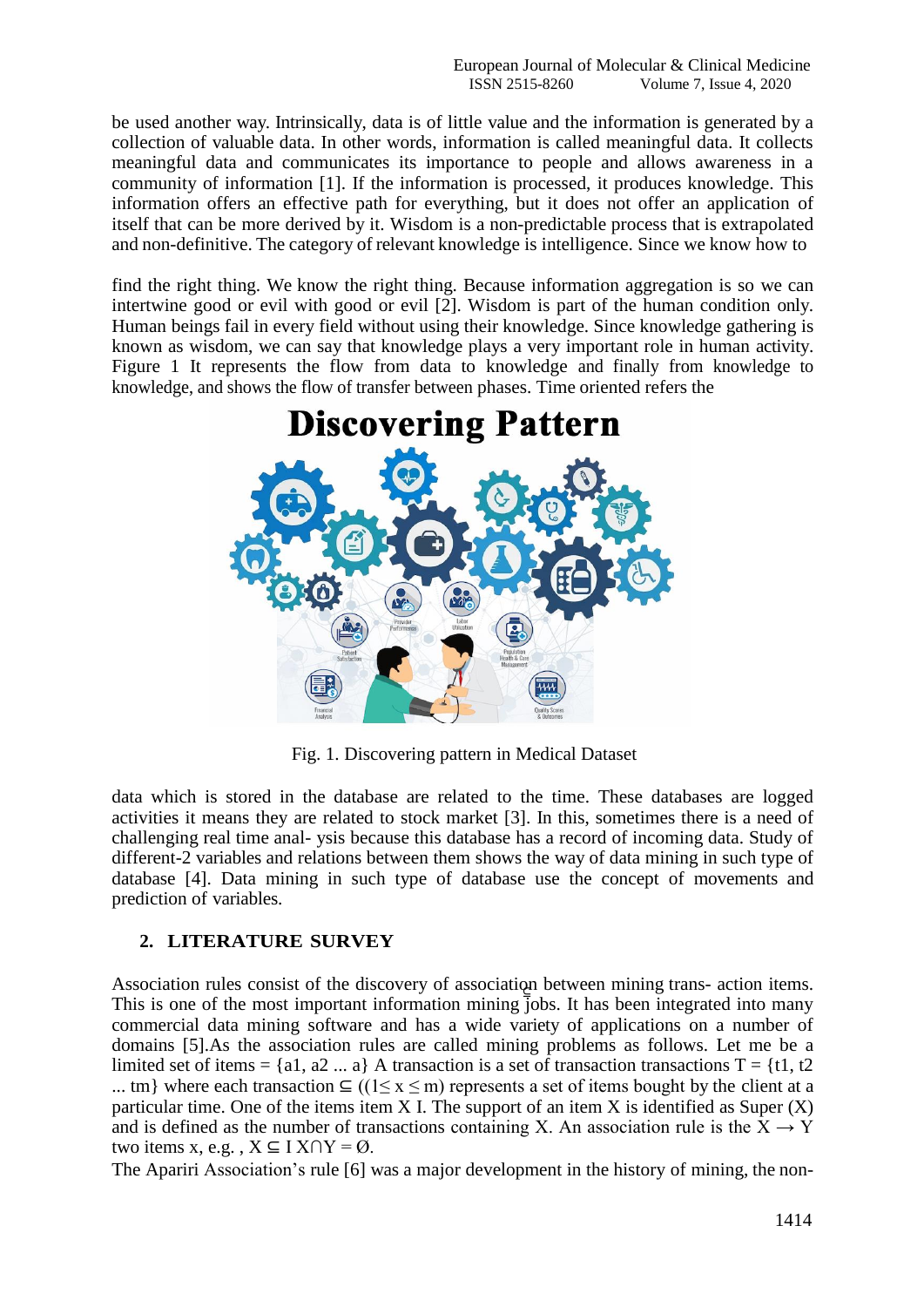be used another way. Intrinsically, data is of little value and the information is generated by a collection of valuable data. In other words, information is called meaningful data. It collects meaningful data and communicates its importance to people and allows awareness in a community of information [1]. If the information is processed, it produces knowledge. This information offers an effective path for everything, but it does not offer an application of itself that can be more derived by it. Wisdom is a non-predictable process that is extrapolated and non-definitive. The category of relevant knowledge is intelligence. Since we know how to

find the right thing. We know the right thing. Because information aggregation is so we can intertwine good or evil with good or evil [2]. Wisdom is part of the human condition only. Human beings fail in every field without using their knowledge. Since knowledge gathering is known as wisdom, we can say that knowledge plays a very important role in human activity. Figure 1 It represents the flow from data to knowledge and finally from knowledge to knowledge, and shows the flow of transfer between phases. Time oriented refers the

# **Discovering Pattern**

Fig. 1. Discovering pattern in Medical Dataset

data which is stored in the database are related to the time. These databases are logged activities it means they are related to stock market [3]. In this, sometimes there is a need of challenging real time anal- ysis because this database has a record of incoming data. Study of different-2 variables and relations between them shows the way of data mining in such type of database [4]. Data mining in such type of database use the concept of movements and prediction of variables.

# **2. LITERATURE SURVEY**

This is one of the most important information mining jobs. It has been integrated into many Association rules consist of the discovery of association between mining trans- action items. commercial data mining software and has a wide variety of applications on a number of domains [5].As the association rules are called mining problems as follows. Let me be a limited set of items = {a1, a2 ... a} A transaction is a set of transaction transactions  $T = \{t1, t2$ 

... tm} where each transaction  $\subseteq$  ((1 $\leq$  x  $\leq$  m) represents a set of items bought by the client at a particular time. One of the items item  $X$  I. The support of an item  $X$  is identified as Super  $(X)$ and is defined as the number of transactions containing X. An association rule is the  $X \rightarrow Y$ two items x, e.g.,  $X \subseteq I X \cap Y = \emptyset$ .

The Apariri Association's rule [6] was a major development in the history of mining, the non-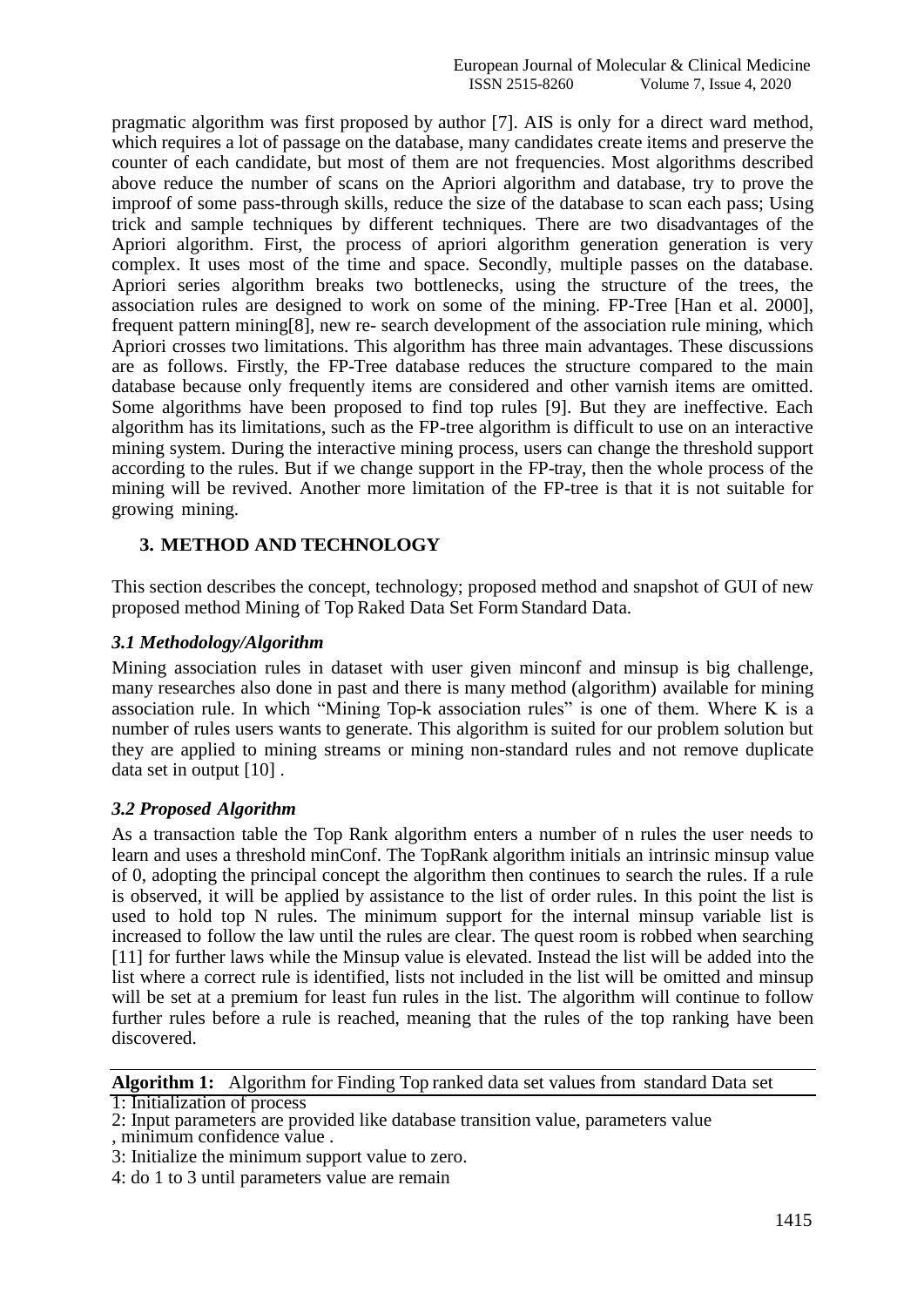pragmatic algorithm was first proposed by author [7]. AIS is only for a direct ward method, which requires a lot of passage on the database, many candidates create items and preserve the counter of each candidate, but most of them are not frequencies. Most algorithms described above reduce the number of scans on the Apriori algorithm and database, try to prove the improof of some pass-through skills, reduce the size of the database to scan each pass; Using trick and sample techniques by different techniques. There are two disadvantages of the Apriori algorithm. First, the process of apriori algorithm generation generation is very complex. It uses most of the time and space. Secondly, multiple passes on the database. Apriori series algorithm breaks two bottlenecks, using the structure of the trees, the association rules are designed to work on some of the mining. FP-Tree [Han et al. 2000], frequent pattern mining[8], new re- search development of the association rule mining, which Apriori crosses two limitations. This algorithm has three main advantages. These discussions are as follows. Firstly, the FP-Tree database reduces the structure compared to the main database because only frequently items are considered and other varnish items are omitted. Some algorithms have been proposed to find top rules [9]. But they are ineffective. Each algorithm has its limitations, such as the FP-tree algorithm is difficult to use on an interactive mining system. During the interactive mining process, users can change the threshold support according to the rules. But if we change support in the FP-tray, then the whole process of the mining will be revived. Another more limitation of the FP-tree is that it is not suitable for growing mining.

# **3. METHOD AND TECHNOLOGY**

This section describes the concept, technology; proposed method and snapshot of GUI of new proposed method Mining of Top Raked Data Set FormStandard Data.

# *3.1 Methodology/Algorithm*

Mining association rules in dataset with user given minconf and minsup is big challenge, many researches also done in past and there is many method (algorithm) available for mining association rule. In which "Mining Top-k association rules" is one of them. Where K is a number of rules users wants to generate. This algorithm is suited for our problem solution but they are applied to mining streams or mining non-standard rules and not remove duplicate data set in output [10] .

# *3.2 Proposed Algorithm*

As a transaction table the Top Rank algorithm enters a number of n rules the user needs to learn and uses a threshold minConf. The TopRank algorithm initials an intrinsic minsup value of 0, adopting the principal concept the algorithm then continues to search the rules. If a rule is observed, it will be applied by assistance to the list of order rules. In this point the list is used to hold top N rules. The minimum support for the internal minsup variable list is increased to follow the law until the rules are clear. The quest room is robbed when searching [11] for further laws while the Minsup value is elevated. Instead the list will be added into the list where a correct rule is identified, lists not included in the list will be omitted and minsup will be set at a premium for least fun rules in the list. The algorithm will continue to follow further rules before a rule is reached, meaning that the rules of the top ranking have been discovered.

# **Algorithm 1:** Algorithm for Finding Top ranked data set values from standard Data set

1: Initialization of process

<sup>2:</sup> Input parameters are provided like database transition value, parameters value

<sup>,</sup> minimum confidence value .

<sup>3:</sup> Initialize the minimum support value to zero.

<sup>4:</sup> do 1 to 3 until parameters value are remain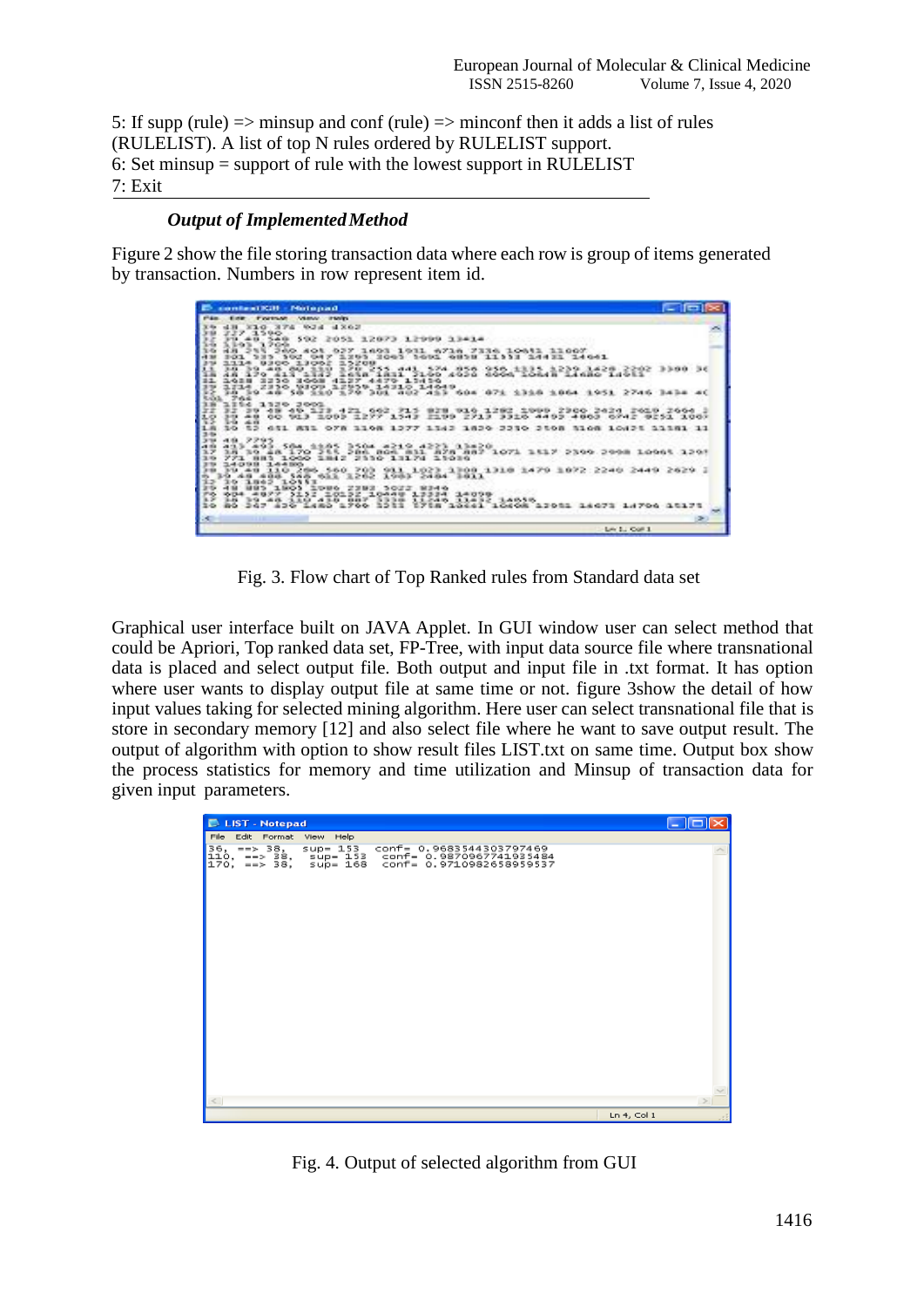5: If supp (rule)  $\Rightarrow$  minsup and conf (rule)  $\Rightarrow$  minconf then it adds a list of rules (RULELIST). A list of top N rules ordered by RULELIST support. 6: Set minsup = support of rule with the lowest support in RULELIST 7: Exit

## *Output of ImplementedMethod*

Figure 2 show the file storing transaction data where each row is group of items generated by transaction. Numbers in row represent item id.

| <b>Contact Kill - Midepad</b>                                                                                                                                                                                                                                                                                                                                                                       | œ                  |
|-----------------------------------------------------------------------------------------------------------------------------------------------------------------------------------------------------------------------------------------------------------------------------------------------------------------------------------------------------------------------------------------------------|--------------------|
| PAR EXP. Fortune Venus resis-                                                                                                                                                                                                                                                                                                                                                                       |                    |
| <b>COXE EUM STE OFF HER</b><br>227 3590                                                                                                                                                                                                                                                                                                                                                             |                    |
| F1 48 548 592 2051 12073 12999 13414                                                                                                                                                                                                                                                                                                                                                                |                    |
| S. D-G. To<br>3.709<br>1693 1931 6716 7<br>33000<br>101<br>3 2003 1001 0858<br>11933 24432 24641<br>1114 8300 13062<br>5200                                                                                                                                                                                                                                                                         |                    |
| <b>BALL DIG ALIX</b><br>$\begin{smallmatrix} 255 & 0.4 \\ 1.011 & 21.00 \\ 1.011 & 31.00 \\ \end{smallmatrix} \begin{smallmatrix} 274 & 056 & 956 & 133 \\ 4020 & 4000 & 1331 \\ 4000 & 1.010 & 1.010 \\ \end{smallmatrix} \begin{smallmatrix} 279 & 1420 & 2692 \\ 1.010 & 1.010 & 1.010 \\ 1.010 & 1.010 & 1.010 \\ \end{smallmatrix}$<br>342<br>111<br>43.20<br>3230<br>3003<br>1.24.2-0<br>ユの三目 |                    |
| 1714 2330 VIOR 12950 14310 1404 416 604 674 1318 1664 1661 2746 1414<br>14 14 44 54 110 170 161 462 413 604 674 1318 1664 1661 2746 1414<br>744                                                                                                                                                                                                                                                     |                    |
| 1254 1320 2001<br>39 48 49 123 421 662 715 828 916 1282 1999 2300 2424 2619 2664<br>39 48 00 913 1093 1277 1543 2199 2713 3316 4493 4803 6742 9251 1007<br>1-a 4-m                                                                                                                                                                                                                                  |                    |
| 10 12 411 811 078 1108 1277 1342 1820 2210 2108 3108 10821 11381 11<br>$5 - 1$<br>アアロヴ                                                                                                                                                                                                                                                                                                              |                    |
| $-1.51$<br>493 493 584 9985 3504 4219 4223 93420 1<br>170 355 386 806 811 878 887 1071 1517<br>3月 30 当线<br>881 1000 1842 2110 13174 11030                                                                                                                                                                                                                                                           | コスなな、コモの当          |
| 14091 14400<br>140 001 1202 234, 223, 1300 1310 1479<br>10157<br>3の コロムラ                                                                                                                                                                                                                                                                                                                            |                    |
| 5022<br><b>MINK</b><br>604 4977<br>10132 10449<br>ma.<br>13334 14098<br><b>TANK 2019</b><br>3.5%<br><b>B. R. K.F.</b><br>11245<br><b><i>BARROOM</i></b><br>247 429 1480<br>966<br>120<br>ビアミル<br>41 10408 13081 14073                                                                                                                                                                               |                    |
| ×                                                                                                                                                                                                                                                                                                                                                                                                   |                    |
|                                                                                                                                                                                                                                                                                                                                                                                                     | Live \$1, Coll \$1 |

Fig. 3. Flow chart of Top Ranked rules from Standard data set

Graphical user interface built on JAVA Applet. In GUI window user can select method that could be Apriori, Top ranked data set, FP-Tree, with input data source file where transnational data is placed and select output file. Both output and input file in .txt format. It has option where user wants to display output file at same time or not. figure 3show the detail of how input values taking for selected mining algorithm. Here user can select transnational file that is store in secondary memory [12] and also select file where he want to save output result. The output of algorithm with option to show result files LIST.txt on same time. Output box show the process statistics for memory and time utilization and Minsup of transaction data for given input parameters.



Fig. 4. Output of selected algorithm from GUI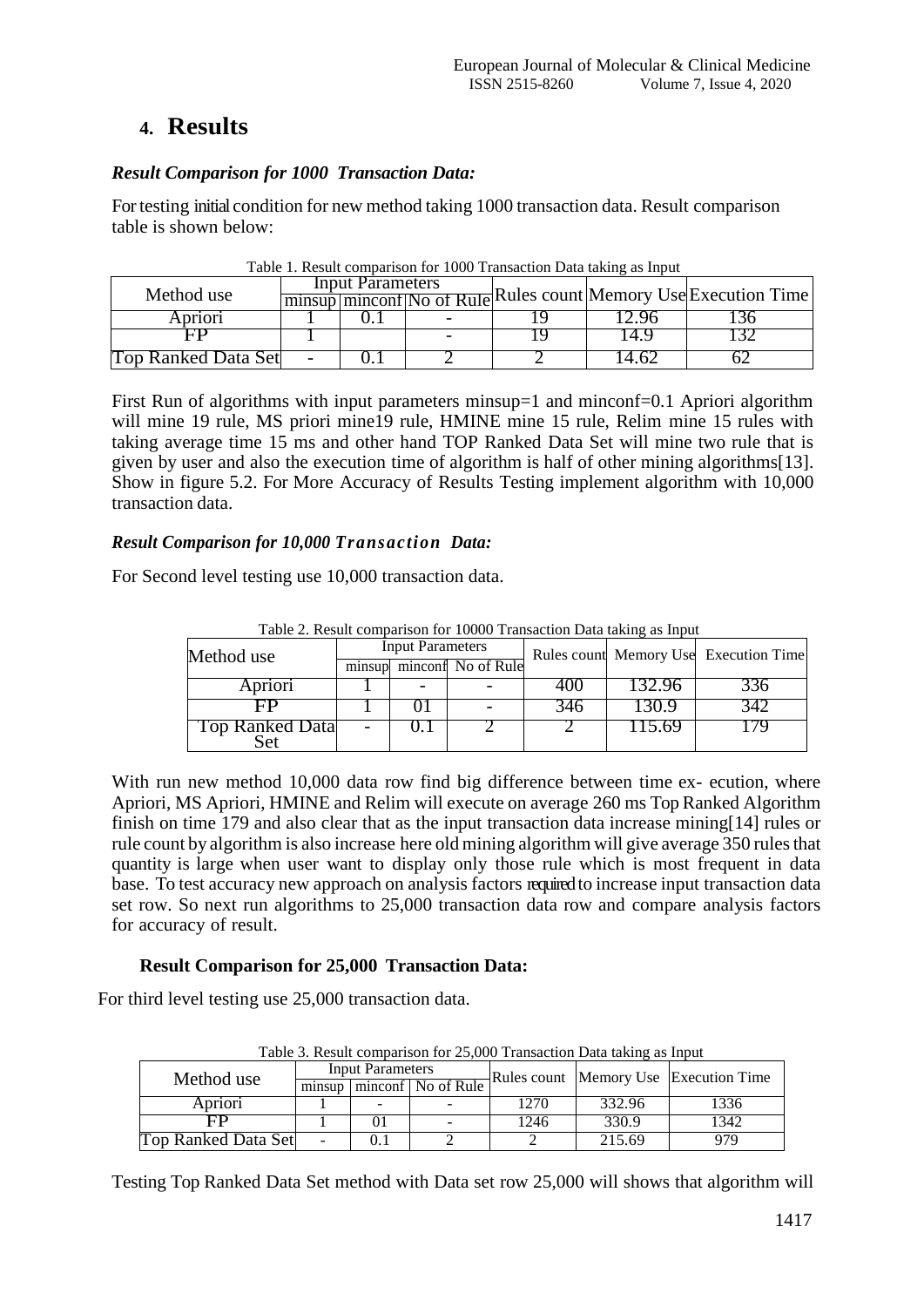# **4. Results**

# *Result Comparison for 1000 Transaction Data:*

For testing initial condition for new method taking 1000 transaction data. Result comparison table is shown below:

|                     | Input Parameters<br>minsup minconf No of Rule Rules count Memory Use Execution Time |  |  |  |  |
|---------------------|-------------------------------------------------------------------------------------|--|--|--|--|
| Method use          |                                                                                     |  |  |  |  |
| Apriori             |                                                                                     |  |  |  |  |
|                     |                                                                                     |  |  |  |  |
| Top Ranked Data Set |                                                                                     |  |  |  |  |

Table 1. Result comparison for 1000 Transaction Data taking as Input

First Run of algorithms with input parameters minsup=1 and minconf=0.1 Apriori algorithm will mine 19 rule, MS priori mine<sup>19</sup> rule, HMINE mine 15 rule, Relim mine 15 rules with taking average time 15 ms and other hand TOP Ranked Data Set will mine two rule that is given by user and also the execution time of algorithm is half of other mining algorithms[13]. Show in figure 5.2. For More Accuracy of Results Testing implement algorithm with 10,000 transaction data.

# *Result Comparison for 10,000 Transaction Data:*

For Second level testing use 10,000 transaction data.

| Method use      | <b>Input Parameters</b> |  |                           |       |       | $\sim$ . The second contract the second contract of the second contract $\sim$ and $\sim$ . The second contract of $\sim$<br>Rules count Memory Use Execution Time |
|-----------------|-------------------------|--|---------------------------|-------|-------|--------------------------------------------------------------------------------------------------------------------------------------------------------------------|
|                 |                         |  | minsup minconf No of Rule |       |       |                                                                                                                                                                    |
| Apriori         |                         |  |                           | 40.   | 32.YO |                                                                                                                                                                    |
|                 |                         |  |                           | .940. | 130.9 | ر 14                                                                                                                                                               |
| Top Ranked Data |                         |  |                           |       | 15.69 |                                                                                                                                                                    |

Table 2. Result comparison for 10000 Transaction Data taking as Input

With run new method 10,000 data row find big difference between time ex- ecution, where Apriori, MS Apriori, HMINE and Relim will execute on average 260 ms Top Ranked Algorithm finish on time 179 and also clear that as the input transaction data increase mining[14] rules or rule count by algorithm is also increase here old mining algorithm will give average 350 rules that quantity is large when user want to display only those rule which is most frequent in data base. To test accuracy new approach on analysis factors required to increase input transaction data set row. So next run algorithms to 25,000 transaction data row and compare analysis factors for accuracy of result.

# **Result Comparison for 25,000 Transaction Data:**

For third level testing use 25,000 transaction data.

| Tuble 5: Result companion for 25,000 Transaction Data taking as input |                         |  |                      |      |        |                                       |  |
|-----------------------------------------------------------------------|-------------------------|--|----------------------|------|--------|---------------------------------------|--|
| Method use                                                            | <b>Input Parameters</b> |  |                      |      |        | Rules count Memory Use Execution Time |  |
|                                                                       | minsup                  |  | minconf   No of Rule |      |        |                                       |  |
| Apriori                                                               |                         |  |                      | 1270 | 332.96 | 1336                                  |  |
| FP                                                                    |                         |  |                      | 1246 | 330.9  | 1342                                  |  |
| <b>Top Ranked Data Set</b>                                            |                         |  |                      |      | 215.69 | 979                                   |  |

Table 3. Result comparison for 25,000 Transaction Data taking as Input

Testing Top Ranked Data Set method with Data set row 25,000 will shows that algorithm will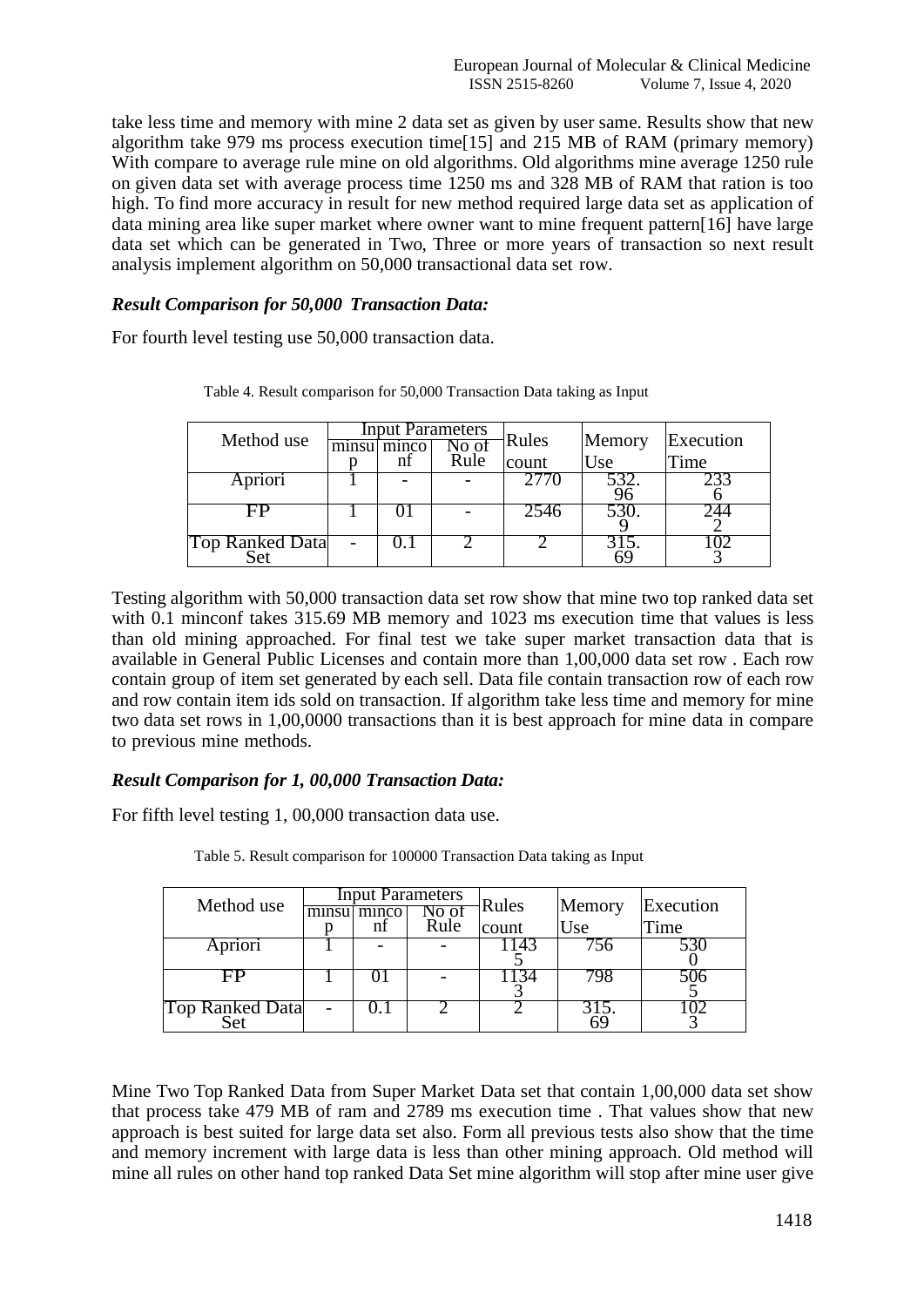take less time and memory with mine 2 data set as given by user same. Results show that new algorithm take 979 ms process execution time[15] and 215 MB of RAM (primary memory) With compare to average rule mine on old algorithms. Old algorithms mine average 1250 rule on given data set with average process time 1250 ms and 328 MB of RAM that ration is too high. To find more accuracy in result for new method required large data set as application of data mining area like super market where owner want to mine frequent pattern[16] have large data set which can be generated in Two, Three or more years of transaction so next result analysis implement algorithm on 50,000 transactional data set row.

# *Result Comparison for 50,000 Transaction Data:*

For fourth level testing use 50,000 transaction data.

| Method use      | minsu | minco | <b>Input Parameters</b><br>Rule | Rules<br>count | Memory<br>Use | Execution<br>Time |
|-----------------|-------|-------|---------------------------------|----------------|---------------|-------------------|
| Apriori         |       |       |                                 |                |               |                   |
| - Fi⊬           |       |       |                                 | 254c           |               |                   |
| Top Ranked Data |       |       |                                 |                |               |                   |

Table 4. Result comparison for 50,000 Transaction Data taking as Input

Testing algorithm with 50,000 transaction data set row show that mine two top ranked data set with 0.1 minconf takes 315.69 MB memory and 1023 ms execution time that values is less than old mining approached. For final test we take super market transaction data that is available in General Public Licenses and contain more than 1,00,000 data set row . Each row contain group of item set generated by each sell. Data file contain transaction row of each row and row contain item ids sold on transaction. If algorithm take less time and memory for mine two data set rows in 1,00,0000 transactions than it is best approach for mine data in compare to previous mine methods.

# *Result Comparison for 1, 00,000 Transaction Data:*

For fifth level testing 1, 00,000 transaction data use.

| Method use      | minsul minco<br>nf | <b>Input Parameters</b><br>No of<br>Rule | Rules<br>count | Memory<br>Use | Execution<br>Time |
|-----------------|--------------------|------------------------------------------|----------------|---------------|-------------------|
| Apriori         |                    |                                          | . 14.          |               |                   |
|                 |                    |                                          |                |               |                   |
| Top Ranked Data |                    |                                          |                | 15.<br>ናና     |                   |

Table 5. Result comparison for 100000 Transaction Data taking as Input

Mine Two Top Ranked Data from Super Market Data set that contain 1,00,000 data set show that process take 479 MB of ram and 2789 ms execution time . That values show that new approach is best suited for large data set also. Form all previous tests also show that the time and memory increment with large data is less than other mining approach. Old method will mine all rules on other hand top ranked Data Set mine algorithm will stop after mine user give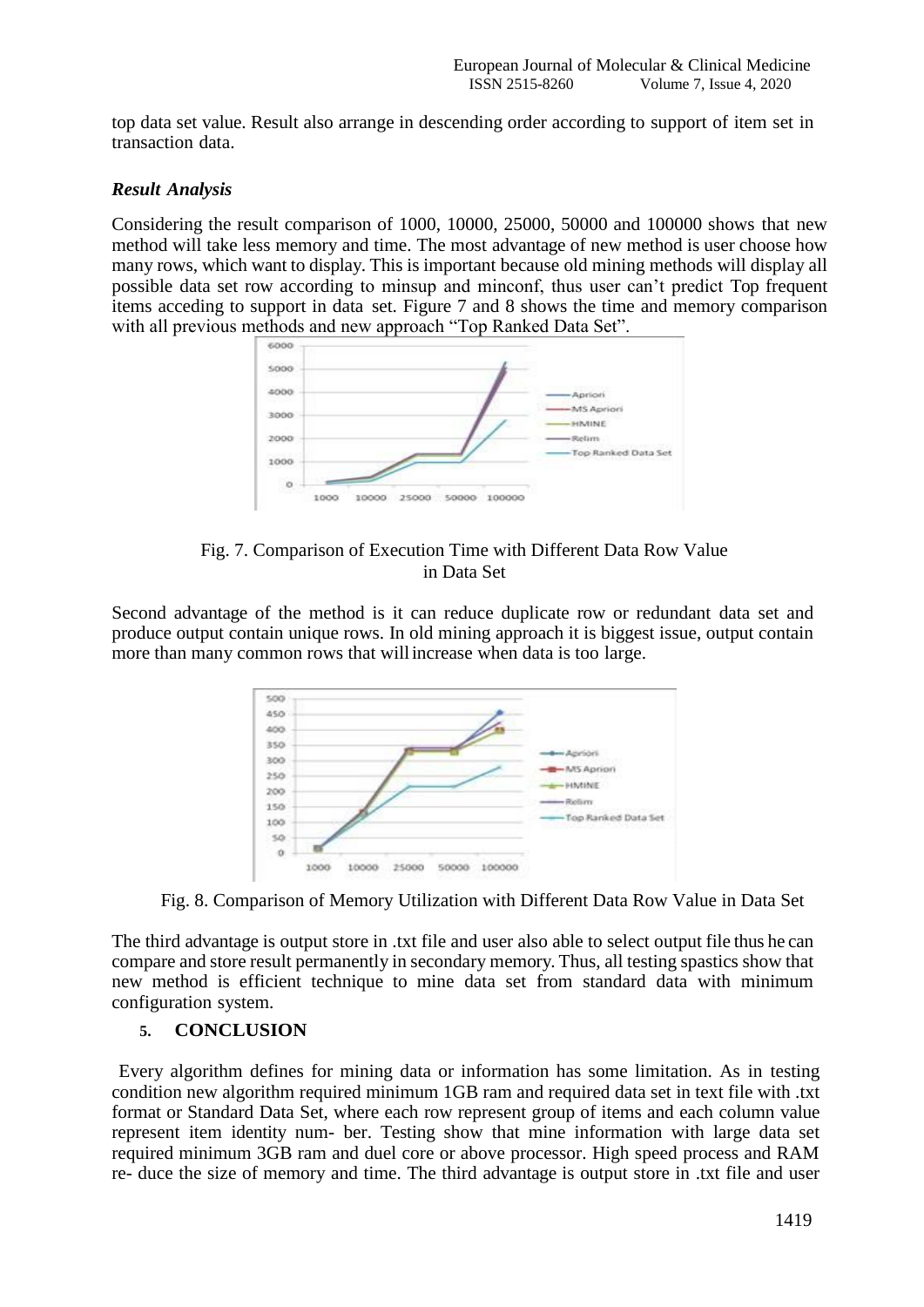top data set value. Result also arrange in descending order according to support of item set in transaction data.

# *Result Analysis*

Considering the result comparison of 1000, 10000, 25000, 50000 and 100000 shows that new method will take less memory and time. The most advantage of new method is user choose how many rows, which want to display. This is important because old mining methods will display all possible data set row according to minsup and minconf, thus user can't predict Top frequent items acceding to support in data set. Figure 7 and 8 shows the time and memory comparison with all previous methods and new approach "Top Ranked Data Set".



Fig. 7. Comparison of Execution Time with Different Data Row Value in Data Set

Second advantage of the method is it can reduce duplicate row or redundant data set and produce output contain unique rows. In old mining approach it is biggest issue, output contain more than many common rows that willincrease when data is too large.



Fig. 8. Comparison of Memory Utilization with Different Data Row Value in Data Set

The third advantage is output store in .txt file and user also able to select output file thus he can compare and store result permanently in secondary memory. Thus, all testing spastics show that new method is efficient technique to mine data set from standard data with minimum configuration system.

# **5. CONCLUSION**

Every algorithm defines for mining data or information has some limitation. As in testing condition new algorithm required minimum 1GB ram and required data set in text file with .txt format or Standard Data Set, where each row represent group of items and each column value represent item identity num- ber. Testing show that mine information with large data set required minimum 3GB ram and duel core or above processor. High speed process and RAM re- duce the size of memory and time. The third advantage is output store in .txt file and user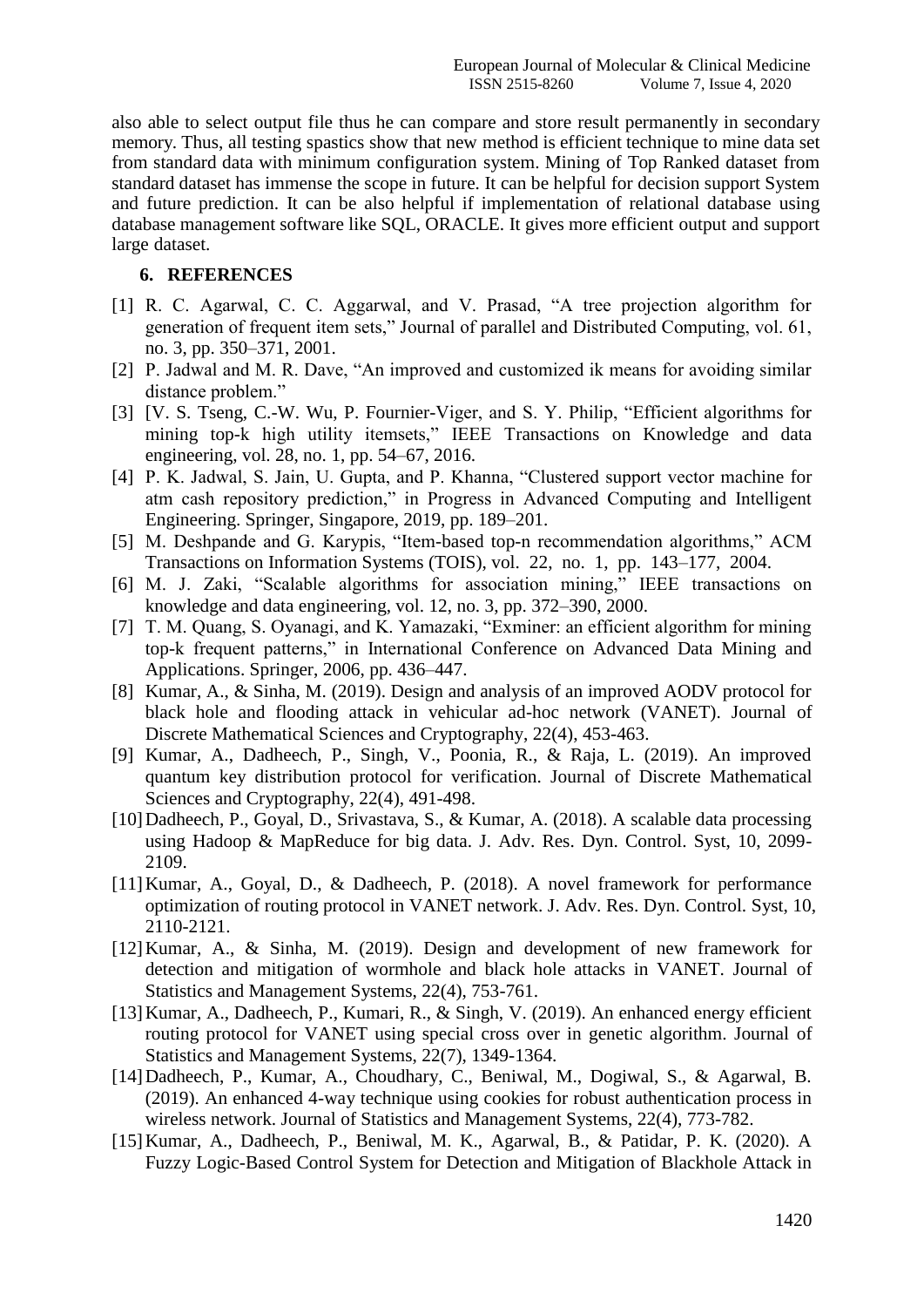also able to select output file thus he can compare and store result permanently in secondary memory. Thus, all testing spastics show that new method is efficient technique to mine data set from standard data with minimum configuration system. Mining of Top Ranked dataset from standard dataset has immense the scope in future. It can be helpful for decision support System and future prediction. It can be also helpful if implementation of relational database using database management software like SQL, ORACLE. It gives more efficient output and support large dataset.

# **6. REFERENCES**

- [1] R. C. Agarwal, C. C. Aggarwal, and V. Prasad, "A tree projection algorithm for generation of frequent item sets," Journal of parallel and Distributed Computing, vol. 61, no. 3, pp. 350–371, 2001.
- [2] P. Jadwal and M. R. Dave, "An improved and customized ik means for avoiding similar distance problem."
- [3] [V. S. Tseng, C.-W. Wu, P. Fournier-Viger, and S. Y. Philip, "Efficient algorithms for mining top-k high utility itemsets," IEEE Transactions on Knowledge and data engineering, vol. 28, no. 1, pp. 54–67, 2016.
- [4] P. K. Jadwal, S. Jain, U. Gupta, and P. Khanna, "Clustered support vector machine for atm cash repository prediction," in Progress in Advanced Computing and Intelligent Engineering. Springer, Singapore, 2019, pp. 189–201.
- [5] M. Deshpande and G. Karypis, "Item-based top-n recommendation algorithms," ACM Transactions on Information Systems (TOIS), vol. 22, no. 1, pp. 143–177, 2004.
- [6] M. J. Zaki, "Scalable algorithms for association mining," IEEE transactions on knowledge and data engineering, vol. 12, no. 3, pp. 372–390, 2000.
- [7] T. M. Quang, S. Oyanagi, and K. Yamazaki, "Exminer: an efficient algorithm for mining top-k frequent patterns," in International Conference on Advanced Data Mining and Applications. Springer, 2006, pp. 436–447.
- [8] Kumar, A., & Sinha, M. (2019). Design and analysis of an improved AODV protocol for black hole and flooding attack in vehicular ad-hoc network (VANET). Journal of Discrete Mathematical Sciences and Cryptography, 22(4), 453-463.
- [9] Kumar, A., Dadheech, P., Singh, V., Poonia, R., & Raja, L. (2019). An improved quantum key distribution protocol for verification. Journal of Discrete Mathematical Sciences and Cryptography, 22(4), 491-498.
- [10]Dadheech, P., Goyal, D., Srivastava, S., & Kumar, A. (2018). A scalable data processing using Hadoop & MapReduce for big data. J. Adv. Res. Dyn. Control. Syst, 10, 2099- 2109.
- [11]Kumar, A., Goyal, D., & Dadheech, P. (2018). A novel framework for performance optimization of routing protocol in VANET network. J. Adv. Res. Dyn. Control. Syst, 10, 2110-2121.
- [12]Kumar, A., & Sinha, M. (2019). Design and development of new framework for detection and mitigation of wormhole and black hole attacks in VANET. Journal of Statistics and Management Systems, 22(4), 753-761.
- [13]Kumar, A., Dadheech, P., Kumari, R., & Singh, V. (2019). An enhanced energy efficient routing protocol for VANET using special cross over in genetic algorithm. Journal of Statistics and Management Systems, 22(7), 1349-1364.
- [14]Dadheech, P., Kumar, A., Choudhary, C., Beniwal, M., Dogiwal, S., & Agarwal, B. (2019). An enhanced 4-way technique using cookies for robust authentication process in wireless network. Journal of Statistics and Management Systems, 22(4), 773-782.
- [15]Kumar, A., Dadheech, P., Beniwal, M. K., Agarwal, B., & Patidar, P. K. (2020). A Fuzzy Logic-Based Control System for Detection and Mitigation of Blackhole Attack in